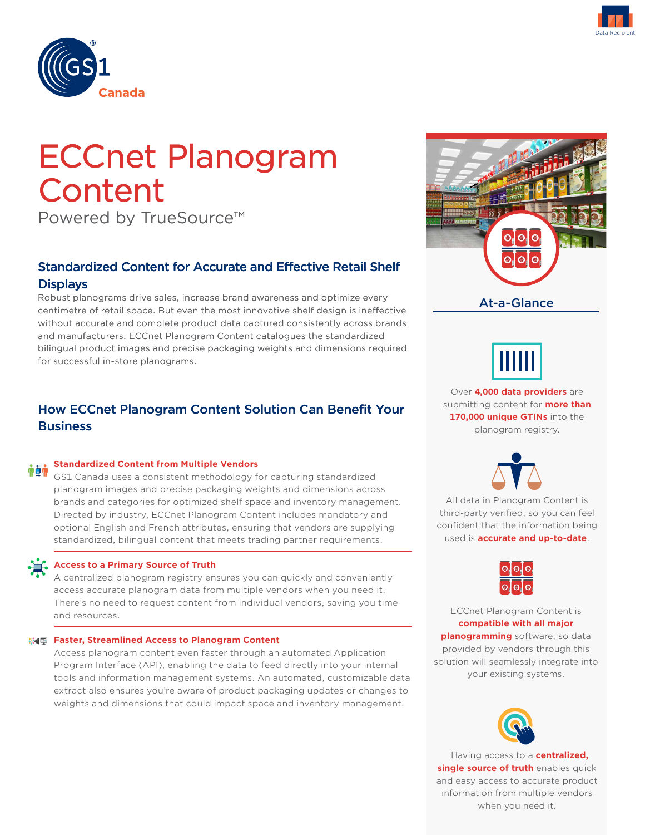



# ECCnet Planogram **Content**

Powered by TrueSource™

### Standardized Content for Accurate and Effective Retail Shelf **Displays**

Robust planograms drive sales, increase brand awareness and optimize every centimetre of retail space. But even the most innovative shelf design is ineffective without accurate and complete product data captured consistently across brands and manufacturers. ECCnet Planogram Content catalogues the standardized bilingual product images and precise packaging weights and dimensions required for successful in-store planograms.

## How ECCnet Planogram Content Solution Can Benefit Your **Business**

#### **Standardized Content from Multiple Vendors**  帝宣帝

GS1 Canada uses a consistent methodology for capturing standardized planogram images and precise packaging weights and dimensions across brands and categories for optimized shelf space and inventory management. Directed by industry, ECCnet Planogram Content includes mandatory and optional English and French attributes, ensuring that vendors are supplying standardized, bilingual content that meets trading partner requirements.



#### **Access to a Primary Source of Truth**

A centralized planogram registry ensures you can quickly and conveniently access accurate planogram data from multiple vendors when you need it. There's no need to request content from individual vendors, saving you time and resources.

#### **<b>EX4** Faster, Streamlined Access to Planogram Content

Access planogram content even faster through an automated Application Program Interface (API), enabling the data to feed directly into your internal tools and information management systems. An automated, customizable data extract also ensures you're aware of product packaging updates or changes to weights and dimensions that could impact space and inventory management.





submitting content for **more than 170,000 unique GTINs** into the planogram registry. Over **4,000 data providers** are



used is **accurate and up-to-date**. All data in Planogram Content is third-party verified, so you can feel confident that the information being



ECCnet Planogram Content is **compatible with all major planogramming** software, so data provided by vendors through this solution will seamlessly integrate into your existing systems.



 Having access to a **centralized, single source of truth** enables quick and easy access to accurate product information from multiple vendors when you need it.